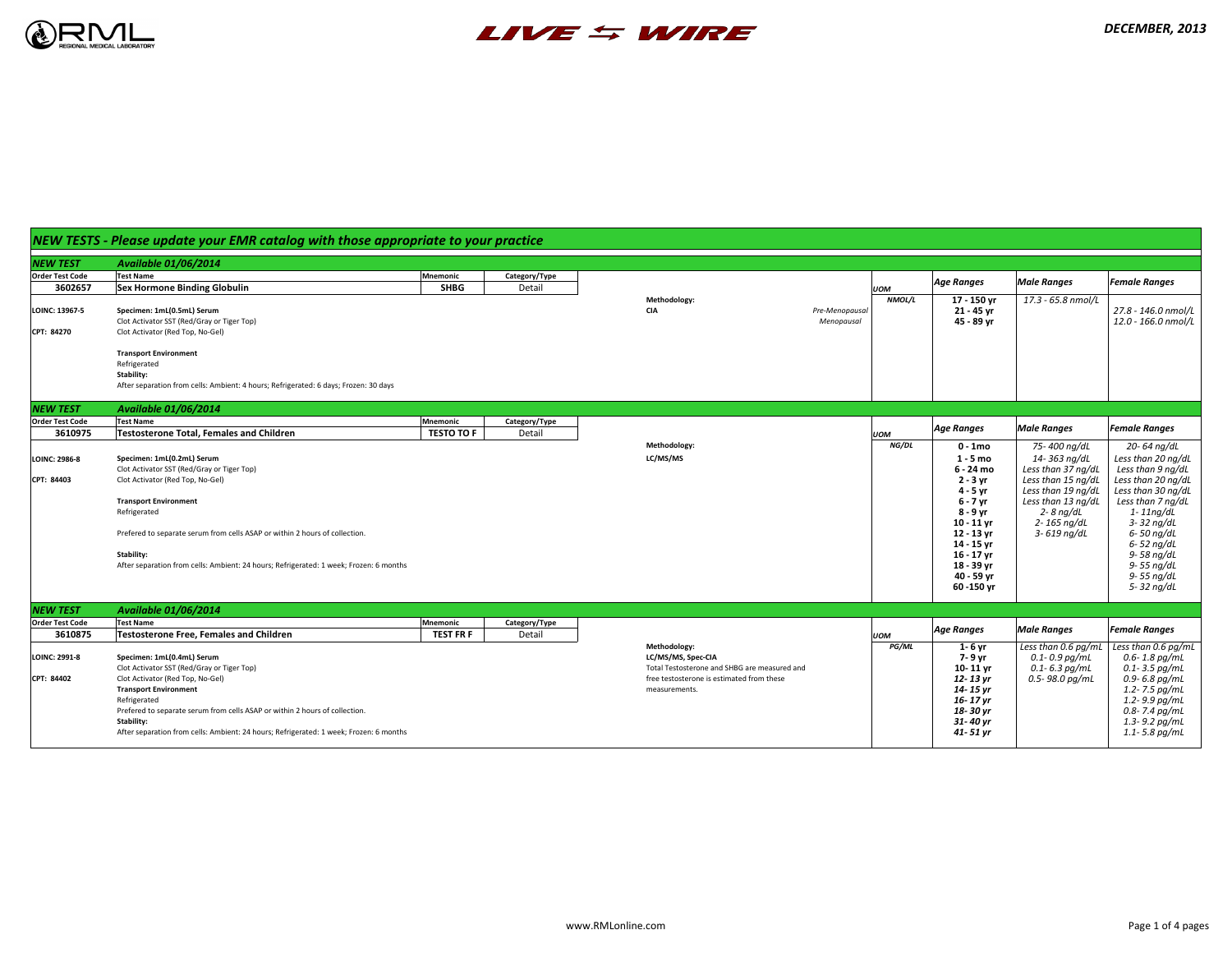## *DECEMBER, 2013*

|                        | NEW TESTS - Please update your EMR catalog with those appropriate to your practice                        |                   |               |                                                                                           |            |                          |                                            |                                                       |
|------------------------|-----------------------------------------------------------------------------------------------------------|-------------------|---------------|-------------------------------------------------------------------------------------------|------------|--------------------------|--------------------------------------------|-------------------------------------------------------|
| NEW TEST               | <b>Available 01/06/2014</b>                                                                               |                   |               |                                                                                           |            |                          |                                            |                                                       |
| <b>Order Test Code</b> | <b>Test Name</b>                                                                                          | Mnemonic          | Category/Type |                                                                                           |            |                          |                                            | <b>Female Ranges</b>                                  |
| 3602657                | <b>Sex Hormone Binding Globulin</b>                                                                       | <b>SHBG</b>       | Detail        |                                                                                           | <b>UOM</b> | <b>Age Ranges</b>        | <b>Male Ranges</b>                         |                                                       |
|                        |                                                                                                           |                   |               | <b>Methodology:</b>                                                                       | NMOL/L     | 17 - 150 yr              | 17.3 - 65.8 nmol/L                         |                                                       |
| <b>LOINC: 13967-5</b>  | Specimen: 1mL(0.5mL) Serum<br>Clot Activator SST (Red/Gray or Tiger Top)                                  |                   |               | <b>CIA</b><br>Pre-Menopausal<br>Menopausal                                                |            | 21 - 45 yr<br>45 - 89 yr |                                            | $27.8$ - 146.0 nmol/L $\mid$<br>$12.0$ - 166.0 nmol/L |
| CPT: 84270             | Clot Activator (Red Top, No-Gel)                                                                          |                   |               |                                                                                           |            |                          |                                            |                                                       |
|                        | <b>Transport Environment</b>                                                                              |                   |               |                                                                                           |            |                          |                                            |                                                       |
|                        | Refrigerated                                                                                              |                   |               |                                                                                           |            |                          |                                            |                                                       |
|                        | <b>Stability:</b><br>After separation from cells: Ambient: 4 hours; Refrigerated: 6 days; Frozen: 30 days |                   |               |                                                                                           |            |                          |                                            |                                                       |
| <b>NEW TEST</b>        | <b>Available 01/06/2014</b>                                                                               |                   |               |                                                                                           |            |                          |                                            |                                                       |
| <b>Order Test Code</b> | <b>Test Name</b>                                                                                          | Mnemonic          | Category/Type |                                                                                           |            | <b>Age Ranges</b>        | <b>Male Ranges</b>                         | <b>Female Ranges</b>                                  |
| 3610975                | <b>Testosterone Total, Females and Children</b>                                                           | <b>TESTO TO F</b> | Detail        |                                                                                           | <b>UOM</b> |                          |                                            |                                                       |
|                        |                                                                                                           |                   |               | <b>Methodology:</b>                                                                       | NG/DL      | $0 - 1$ mo               | 75-400 ng/dL                               | 20-64 ng/dL                                           |
| <b>LOINC: 2986-8</b>   | Specimen: 1mL(0.2mL) Serum                                                                                |                   |               | LC/MS/MS                                                                                  |            | $1 - 5$ mo               | 14-363 ng/dL                               | Less than 20 ng/dL                                    |
|                        | Clot Activator SST (Red/Gray or Tiger Top)                                                                |                   |               |                                                                                           |            | 6 - 24 mo                | Less than 37 ng/dL                         | Less than 9 ng/dL                                     |
| CPT: 84403             | Clot Activator (Red Top, No-Gel)                                                                          |                   |               |                                                                                           |            | $2 - 3$ yr<br>4 - 5 yr   | Less than 15 ng/dL<br>Less than 19 $nq/dL$ | Less than 20 ng/dL<br>Less than 30 ng/dL              |
|                        | <b>Transport Environment</b>                                                                              |                   |               |                                                                                           |            | 6 - 7 yr                 | Less than 13 $ng/dL$                       | Less than 7 ng/dL                                     |
|                        | Refrigerated                                                                                              |                   |               |                                                                                           |            | 8 - 9 yr                 | $2 - 8$ ng/dL                              | 1-11ng/dL                                             |
|                        |                                                                                                           |                   |               |                                                                                           |            | $10 - 11$ yr             | $2 - 165$ ng/dL                            | 3-32 ng/dL                                            |
|                        | Prefered to separate serum from cells ASAP or within 2 hours of collection.                               |                   |               |                                                                                           |            | 12 - 13 yr               | 3- 619 ng/dL                               | 6- 50 ng/dL                                           |
|                        |                                                                                                           |                   |               |                                                                                           |            | 14 - 15 yr               |                                            | 6- 52 ng/dL                                           |
|                        | <b>Stability:</b>                                                                                         |                   |               |                                                                                           |            | 16 - 17 yr               |                                            | 9- 58 ng/dL                                           |
|                        | After separation from cells: Ambient: 24 hours; Refrigerated: 1 week; Frozen: 6 months                    |                   |               |                                                                                           |            | 18 - 39 yr               |                                            | 9- 55 ng/dL                                           |
|                        |                                                                                                           |                   |               |                                                                                           |            | 40 - 59 yr               |                                            | 9- 55 ng/dL                                           |
|                        |                                                                                                           |                   |               |                                                                                           |            | $60 - 150$ yr            |                                            | 5-32 ng/dL                                            |
| <b>NEW TEST</b>        | <b>Available 01/06/2014</b>                                                                               |                   |               |                                                                                           |            |                          |                                            |                                                       |
| <b>Order Test Code</b> | <b>Test Name</b>                                                                                          | Mnemonic          | Category/Type |                                                                                           |            | <b>Age Ranges</b>        | <b>Male Ranges</b>                         | <b>Female Ranges</b>                                  |
| 3610875                | <b>Testosterone Free, Females and Children</b>                                                            | <b>TEST FR F</b>  | Detail        |                                                                                           | <b>UOM</b> |                          |                                            |                                                       |
|                        |                                                                                                           |                   |               | Methodology:                                                                              | PG/ML      | $1 - 6$ yr               | Less than $0.6$ pg/mL                      | Less than 0.6 pg/mL                                   |
| <b>LOINC: 2991-8</b>   | Specimen: 1mL(0.4mL) Serum                                                                                |                   |               | LC/MS/MS, Spec-CIA                                                                        |            | 7- 9 yr                  | $0.1 - 0.9$ pg/mL                          | $0.6$ - $1.8$ pg/mL                                   |
| CPT: 84402             | Clot Activator SST (Red/Gray or Tiger Top)<br>Clot Activator (Red Top, No-Gel)                            |                   |               | Total Testosterone and SHBG are measured and<br>free testosterone is estimated from these |            | $10 - 11$ yr<br>12-13 yr | $0.1$ - 6.3 pg/mL<br>$0.5$ - 98.0 pg/mL    | $0.1$ - 3.5 pg/mL<br>$0.9$ - 6.8 pg/mL                |
|                        | <b>Transport Environment</b>                                                                              |                   |               | measurements.                                                                             |            | 14- 15 yr                |                                            | $1.2$ - 7.5 pg/mL                                     |
|                        | Refrigerated                                                                                              |                   |               |                                                                                           |            | 16-17 yr                 |                                            | $1.2 - 9.9$ pg/mL                                     |
|                        | Prefered to separate serum from cells ASAP or within 2 hours of collection.                               |                   |               |                                                                                           |            | 18-30 yr                 |                                            | $0.8$ - 7.4 pg/mL                                     |
|                        | <b>Stability:</b>                                                                                         |                   |               |                                                                                           |            | 31-40 yr                 |                                            | $1.3$ - 9.2 pg/mL                                     |
|                        | After separation from cells: Ambient: 24 hours; Refrigerated: 1 week; Frozen: 6 months                    |                   |               |                                                                                           |            | 41- 51 yr                |                                            | $1.1$ - 5.8 pg/mL                                     |
|                        |                                                                                                           |                   |               |                                                                                           |            |                          |                                            |                                                       |





# *NEW TESTS - Please update your EMR catalog with those appropriate to your practice*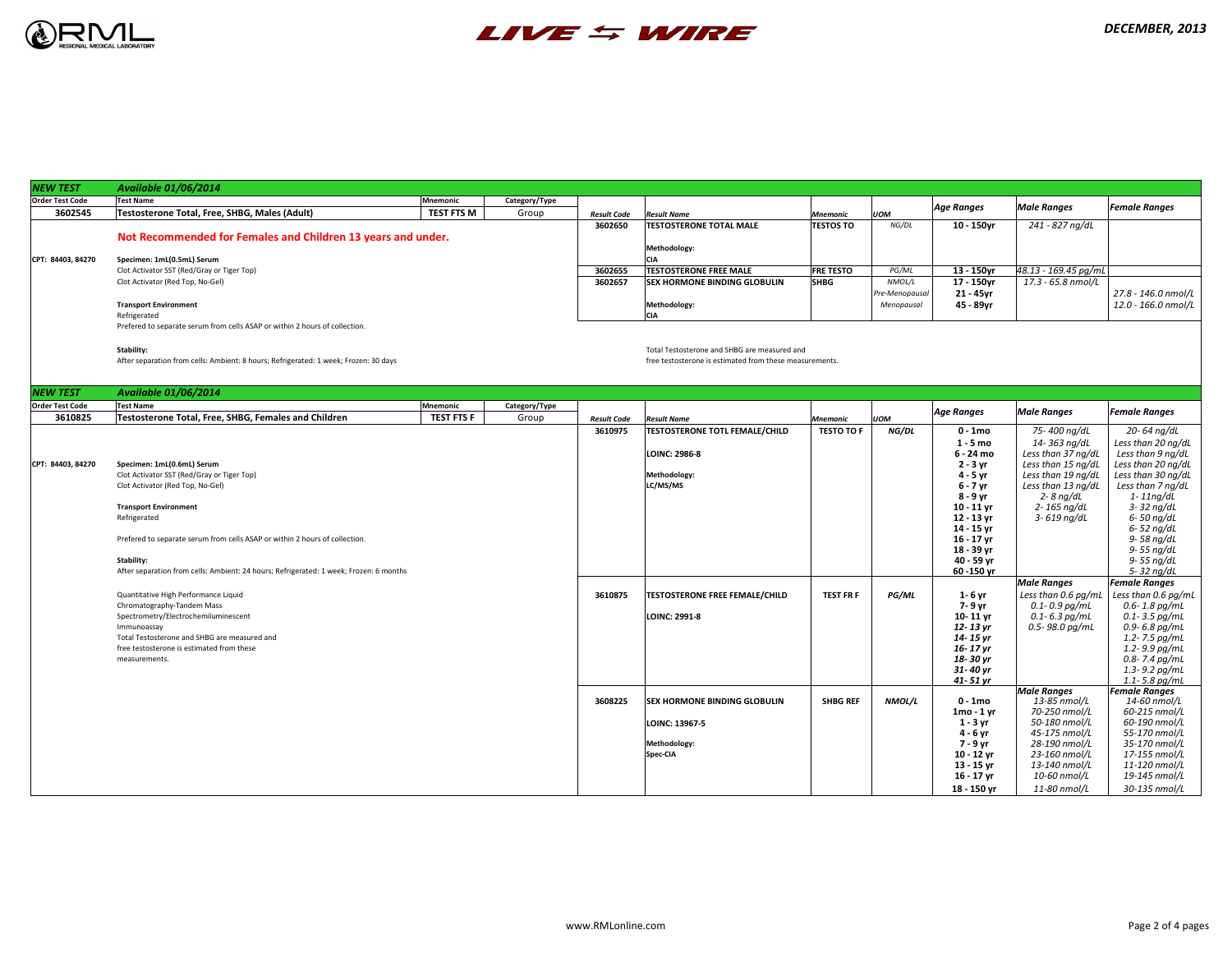

| <b>NEW TEST</b>        | <b>Available 01/06/2014</b>                                                            |                   |               |                    |            |
|------------------------|----------------------------------------------------------------------------------------|-------------------|---------------|--------------------|------------|
| <b>Order Test Code</b> | <b>Test Name</b>                                                                       | <b>Mnemonic</b>   | Category/Type |                    |            |
| 3602545                | <b>Testosterone Total, Free, SHBG, Males (Adult)</b>                                   | <b>TEST FTS M</b> | Group         | <b>Result Code</b> | Res        |
|                        |                                                                                        |                   |               | 3602650            | <b>TES</b> |
|                        | Not Recommended for Females and Children 13 years and under.                           |                   |               |                    |            |
|                        |                                                                                        |                   |               |                    | Me         |
| CPT: 84403, 84270      | Specimen: 1mL(0.5mL) Serum                                                             |                   |               |                    | <b>CIA</b> |
|                        | Clot Activator SST (Red/Gray or Tiger Top)                                             |                   |               | 3602655            | <b>TES</b> |
|                        | Clot Activator (Red Top, No-Gel)                                                       |                   |               | 3602657            | SEX        |
|                        | <b>Transport Environment</b>                                                           |                   |               |                    | Me         |
|                        | Refrigerated                                                                           |                   |               |                    | <b>CIA</b> |
|                        | Prefered to separate serum from cells ASAP or within 2 hours of collection.            |                   |               |                    |            |
|                        |                                                                                        |                   |               |                    |            |
|                        | <b>Stability:</b>                                                                      |                   |               |                    | Tot        |
|                        | After separation from cells: Ambient: 8 hours; Refrigerated: 1 week; Frozen: 30 days   |                   |               |                    | free       |
|                        |                                                                                        |                   |               |                    |            |
| <b>NEW TEST</b>        | <b>Available 01/06/2014</b>                                                            |                   |               |                    |            |
| <b>Order Test Code</b> | <b>Test Name</b>                                                                       | <b>Mnemonic</b>   | Category/Type |                    |            |
| 3610825                | <b>Testosterone Total, Free, SHBG, Females and Children</b>                            | <b>TEST FTS F</b> | Group         | <b>Result Code</b> | Res        |
|                        |                                                                                        |                   |               | 3610975            | <b>TES</b> |
|                        |                                                                                        |                   |               |                    |            |
|                        |                                                                                        |                   |               |                    | LO         |
| CPT: 84403, 84270      | Specimen: 1mL(0.6mL) Serum<br>Clot Activator SST (Red/Gray or Tiger Top)               |                   |               |                    | Me         |
|                        | Clot Activator (Red Top, No-Gel)                                                       |                   |               |                    | LC/        |
|                        |                                                                                        |                   |               |                    |            |
|                        | <b>Transport Environment</b>                                                           |                   |               |                    |            |
|                        | Refrigerated                                                                           |                   |               |                    |            |
|                        | Prefered to separate serum from cells ASAP or within 2 hours of collection.            |                   |               |                    |            |
|                        |                                                                                        |                   |               |                    |            |
|                        | <b>Stability:</b>                                                                      |                   |               |                    |            |
|                        | After separation from cells: Ambient: 24 hours; Refrigerated: 1 week; Frozen: 6 months |                   |               |                    |            |
|                        |                                                                                        |                   |               |                    |            |
|                        | Quantitative High Performance Liquid                                                   |                   |               | 3610875            | <b>TES</b> |
|                        | Chromatography-Tandem Mass                                                             |                   |               |                    |            |
|                        | Spectrometry/Electrochemiluminescent<br>Immunoassay                                    |                   |               |                    | LO         |
|                        | Total Testosterone and SHBG are measured and                                           |                   |               |                    |            |
|                        | free testosterone is estimated from these                                              |                   |               |                    |            |
|                        | measurements.                                                                          |                   |               |                    |            |
|                        |                                                                                        |                   |               |                    |            |
|                        |                                                                                        |                   |               |                    |            |
|                        |                                                                                        |                   |               | 3608225            | SEX        |
|                        |                                                                                        |                   |               |                    |            |
|                        |                                                                                        |                   |               |                    | LO         |
|                        |                                                                                        |                   |               |                    | Me         |
|                        |                                                                                        |                   |               |                    | <b>Spe</b> |
|                        |                                                                                        |                   |               |                    |            |
|                        |                                                                                        |                   |               |                    |            |
|                        |                                                                                        |                   |               |                    |            |



**Stability:** Total Testosterone and SHBG are measured and free testosterone is estimated from these measurements.

| <b>Available 01/06/2014</b>                                  |                   |               |                    |                                     |                  |                |                   |                         |                              |
|--------------------------------------------------------------|-------------------|---------------|--------------------|-------------------------------------|------------------|----------------|-------------------|-------------------------|------------------------------|
| <b>Test Name</b>                                             | Mnemonic          | Category/Type |                    |                                     |                  |                |                   |                         |                              |
| <b>Testosterone Total, Free, SHBG, Males (Adult)</b>         | <b>TEST FTS M</b> | Group         | <b>Result Code</b> | <b>Result Name</b>                  | <b>Mnemonic</b>  | <b>UOM</b>     | <b>Age Ranges</b> | <b>Male Ranges</b>      | <b>Female Ranges</b>         |
|                                                              |                   |               | 3602650            | <b>TESTOSTERONE TOTAL MALE</b>      | <b>TESTOS TO</b> | NG/DL          | $10 - 150$ vr     | 241 - 827 ng/dL         |                              |
| Not Recommended for Females and Children 13 years and under. |                   |               |                    |                                     |                  |                |                   |                         |                              |
|                                                              |                   |               |                    | Methodology:                        |                  |                |                   |                         |                              |
| Specimen: 1mL(0.5mL) Serum                                   |                   |               |                    | <b>CIA</b>                          |                  |                |                   |                         |                              |
| Clot Activator SST (Red/Gray or Tiger Top)                   |                   |               | 3602655            | <b>TESTOSTERONE FREE MALE</b>       | <b>FRE TESTO</b> | PG/ML          | 13 - 150yr        | $ 48.13 - 169.45$ pg/mL |                              |
| Clot Activator (Red Top, No-Gel)                             |                   |               | 3602657            | <b>SEX HORMONE BINDING GLOBULIN</b> | <b>SHBG</b>      | NMOL/L         | 17 - 150yr        | 17.3 - 65.8 nmol/L      |                              |
|                                                              |                   |               |                    |                                     |                  | Pre-Menopausal | $21 - 45$ yr      |                         | $27.8$ - 146.0 nmol/L $\mid$ |
| <b>Transport Environment</b>                                 |                   |               |                    | Methodology:                        |                  | Menopausal     | 45 - 89yr         |                         | $12.0$ - 166.0 nmol/L $\mid$ |
| Refrigerated                                                 |                   |               |                    | <b>CIA</b>                          |                  |                |                   |                         |                              |

| <b>NEW TEST</b>        | <b>Available 01/06/2014</b>                                                               |                   |               |                    |                                       |                   |            |                      |                      |                                        |
|------------------------|-------------------------------------------------------------------------------------------|-------------------|---------------|--------------------|---------------------------------------|-------------------|------------|----------------------|----------------------|----------------------------------------|
| <b>Order Test Code</b> | <b>Test Name</b>                                                                          | Mnemonic          | Category/Type |                    |                                       |                   |            |                      | <b>Male Ranges</b>   | <b>Female Ranges</b>                   |
| 3610825                | Testosterone Total, Free, SHBG, Females and Children                                      | <b>TEST FTS F</b> | Group         | <b>Result Code</b> | <b>Result Name</b>                    | <b>Mnemonic</b>   | <b>UOM</b> | <b>Age Ranges</b>    |                      |                                        |
|                        |                                                                                           |                   |               | 3610975            | <b>TESTOSTERONE TOTL FEMALE/CHILD</b> | <b>TESTO TO F</b> | NG/DL      | $0 - 1$ mo           | 75-400 ng/dL         | 20-64 ng/dL                            |
|                        |                                                                                           |                   |               |                    |                                       |                   |            | $1 - 5$ mo           | 14-363 ng/dL         | Less than 20 ng/dL                     |
|                        |                                                                                           |                   |               |                    | <b>LOINC: 2986-8</b>                  |                   |            | 6 - 24 mo            | Less than 37 ng/dL   | Less than 9 ng/dL                      |
| CPT: 84403, 84270      | Specimen: 1mL(0.6mL) Serum                                                                |                   |               |                    |                                       |                   |            | $2 - 3$ yr           | Less than 15 ng/dL   | Less than 20 ng/dL                     |
|                        | Clot Activator SST (Red/Gray or Tiger Top)                                                |                   |               |                    | Methodology:                          |                   |            | 4 - 5 yr             | Less than 19 ng/dL   | Less than 30 ng/dL                     |
|                        | Clot Activator (Red Top, No-Gel)                                                          |                   |               |                    | LC/MS/MS                              |                   |            | 6 - 7 yr             | Less than 13 $nq/dL$ | Less than 7 ng/dL                      |
|                        |                                                                                           |                   |               |                    |                                       |                   |            | 8 - 9 yr             | $2 - 8$ ng/dL        | 1-11ng/dL                              |
|                        | <b>Transport Environment</b>                                                              |                   |               |                    |                                       |                   |            | $10 - 11$ yr         | 2- 165 ng/dL         | 3-32 ng/dL                             |
|                        | Refrigerated                                                                              |                   |               |                    |                                       |                   |            | 12 - 13 yr           | 3- 619 ng/dL         | 6-50 ng/dL                             |
|                        |                                                                                           |                   |               |                    |                                       |                   |            | 14 - 15 yr           |                      | 6-52 ng/dL                             |
|                        | Prefered to separate serum from cells ASAP or within 2 hours of collection.               |                   |               |                    |                                       |                   |            | $16 - 17$ yr         |                      | 9-58 ng/dL                             |
|                        |                                                                                           |                   |               |                    |                                       |                   |            | 18 - 39 yr           |                      | 9-55 ng/dL                             |
|                        | <b>Stability:</b>                                                                         |                   |               |                    |                                       |                   |            | 40 - 59 yr           |                      | 9-55 ng/dL                             |
|                        | After separation from cells: Ambient: 24 hours; Refrigerated: 1 week; Frozen: 6 months    |                   |               |                    |                                       |                   |            | $60 - 150$ yr        |                      | 5-32 ng/dL                             |
|                        |                                                                                           |                   |               |                    |                                       |                   |            |                      | <b>Male Ranges</b>   | <b>Female Ranges</b>                   |
|                        | Quantitative High Performance Liquid                                                      |                   |               | 3610875            | <b>TESTOSTERONE FREE FEMALE/CHILD</b> | <b>TEST FR F</b>  | PG/ML      | 1-6 yr               | Less than 0.6 pg/mL  | Less than $0.6$ pg/mL                  |
|                        | Chromatography-Tandem Mass                                                                |                   |               |                    |                                       |                   |            | 7- 9 yr              | $0.1 - 0.9$ pg/mL    | $0.6$ - $1.8$ pg/mL                    |
|                        | Spectrometry/Electrochemiluminescent                                                      |                   |               |                    | LOINC: 2991-8                         |                   |            | $10 - 11$ yr         | $0.1$ - 6.3 pg/mL    | $0.1$ - 3.5 pg/mL                      |
|                        | Immunoassay                                                                               |                   |               |                    |                                       |                   |            | 12-13 yr             | 0.5-98.0 pg/mL       | $0.9 - 6.8$ pg/mL                      |
|                        | Total Testosterone and SHBG are measured and<br>free testosterone is estimated from these |                   |               |                    |                                       |                   |            | 14-15 yr<br>16-17 yr |                      | $1.2$ - 7.5 pg/mL<br>$1.2 - 9.9$ pg/mL |
|                        | measurements.                                                                             |                   |               |                    |                                       |                   |            | 18-30 yr             |                      | $0.8$ - 7.4 pg/mL                      |
|                        |                                                                                           |                   |               |                    |                                       |                   |            | 31-40 yr             |                      | $1.3 - 9.2$ pg/mL                      |
|                        |                                                                                           |                   |               |                    |                                       |                   |            | 41-51 yr             |                      | $1.1 - 5.8$ pg/mL                      |
|                        |                                                                                           |                   |               |                    |                                       |                   |            |                      | <b>Male Ranges</b>   | <b>Female Ranges</b>                   |
|                        |                                                                                           |                   |               | 3608225            | <b>SEX HORMONE BINDING GLOBULIN</b>   | <b>SHBG REF</b>   | NMOL/L     | $0 - 1$ mo           | 13-85 nmol/L         | 14-60 nmol/L                           |
|                        |                                                                                           |                   |               |                    |                                       |                   |            | $1mo - 1yr$          | 70-250 nmol/L        | 60-215 nmol/L                          |
|                        |                                                                                           |                   |               |                    | <b>LOINC: 13967-5</b>                 |                   |            | $1 - 3$ yr           | 50-180 nmol/L        | 60-190 nmol/L                          |
|                        |                                                                                           |                   |               |                    |                                       |                   |            | 4 - 6 yr             | 45-175 nmol/L        | 55-170 nmol/L                          |
|                        |                                                                                           |                   |               |                    | Methodology:                          |                   |            | 7 - 9 yr             | 28-190 nmol/L        | 35-170 nmol/L                          |
|                        |                                                                                           |                   |               |                    | $ Spec-CIA $                          |                   |            | $10 - 12$ yr         | $23-160$ nmol/L      | 17-155 nmol/L                          |
|                        |                                                                                           |                   |               |                    |                                       |                   |            | 13 - 15 yr           | 13-140 nmol/L        | $11-120$ nmol/L                        |
|                        |                                                                                           |                   |               |                    |                                       |                   |            | 16 - 17 yr           | 10-60 nmol/L         | 19-145 nmol/L                          |
|                        |                                                                                           |                   |               |                    |                                       |                   |            | 18 - 150 yr          | 11-80 nmol/L         | 30-135 nmol/L                          |
|                        |                                                                                           |                   |               |                    |                                       |                   |            |                      |                      |                                        |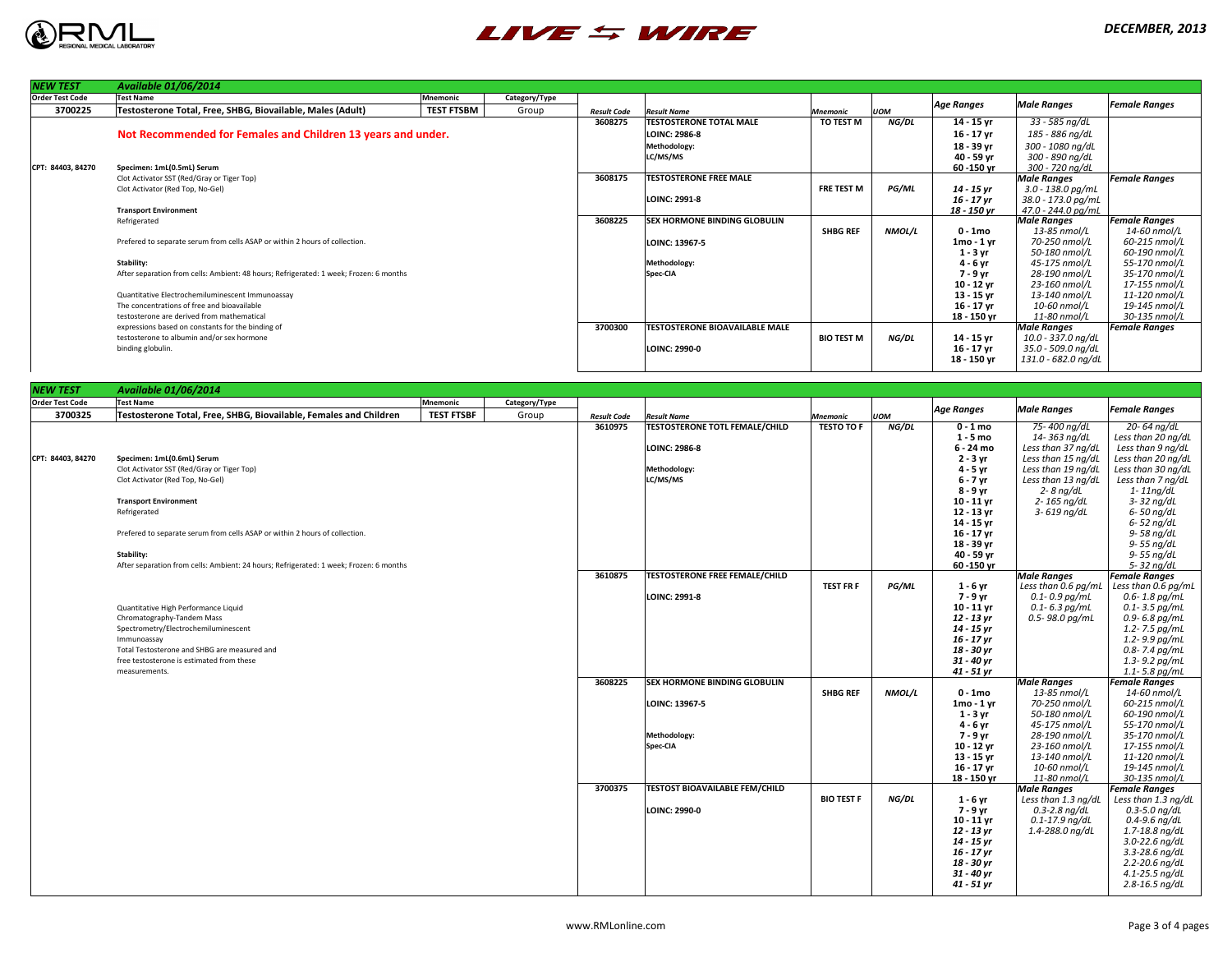

| <b>NEW TEST</b>        | <b>Available 01/06/2014</b>                                                                                 |                   |               |                    |                                                    |                   |               |                            |                                          |                                          |
|------------------------|-------------------------------------------------------------------------------------------------------------|-------------------|---------------|--------------------|----------------------------------------------------|-------------------|---------------|----------------------------|------------------------------------------|------------------------------------------|
| <b>Order Test Code</b> | <b>Test Name</b>                                                                                            | <b>Mnemonic</b>   | Category/Type |                    |                                                    |                   |               | <b>Age Ranges</b>          | <b>Male Ranges</b>                       | <b>Female Ranges</b>                     |
| 3700225                | <b>Testosterone Total, Free, SHBG, Biovailable, Males (Adult)</b>                                           | <b>TEST FTSBM</b> | Group         | <b>Result Code</b> | <b>Result Name</b>                                 | <b>Mnemonic</b>   | <b>UOM</b>    |                            |                                          |                                          |
|                        |                                                                                                             |                   |               | 3608275            | <b>TESTOSTERONE TOTAL MALE</b>                     | <b>TO TEST M</b>  | NG/DL         | 14 - 15 yr                 | 33 - 585 ng/dL                           |                                          |
|                        | Not Recommended for Females and Children 13 years and under.                                                |                   |               |                    | <b>LOINC: 2986-8</b>                               |                   |               | 16 - 17 yr                 | 185 - 886 ng/dL                          |                                          |
|                        |                                                                                                             |                   |               |                    | <b>Methodology:</b>                                |                   |               | 18 - 39 yr                 | 300 - 1080 ng/dL                         |                                          |
|                        |                                                                                                             |                   |               |                    | LC/MS/MS                                           |                   |               | 40 - 59 yr                 | 300 - 890 ng/dL                          |                                          |
| CPT: 84403, 84270      | Specimen: 1mL(0.5mL) Serum<br>Clot Activator SST (Red/Gray or Tiger Top)                                    |                   |               | 3608175            | <b>TESTOSTERONE FREE MALE</b>                      |                   |               | $60 - 150$ yr              | 300 - 720 ng/dL<br><b>Male Ranges</b>    | <b>Female Ranges</b>                     |
|                        | Clot Activator (Red Top, No-Gel)                                                                            |                   |               |                    |                                                    | <b>FRE TEST M</b> | <b>PG/ML</b>  | 14 - 15 yr                 | $3.0 - 138.0$ pg/mL                      |                                          |
|                        |                                                                                                             |                   |               |                    | <b>LOINC: 2991-8</b>                               |                   |               | 16 - 17 yr                 | 38.0 - 173.0 pg/mL                       |                                          |
|                        | <b>Transport Environment</b>                                                                                |                   |               |                    |                                                    |                   |               | 18 - 150 yr                | 47.0 - 244.0 pg/mL                       |                                          |
|                        | Refrigerated                                                                                                |                   |               | 3608225            | <b>SEX HORMONE BINDING GLOBULIN</b>                |                   |               |                            | <b>Male Ranges</b>                       | <b>Female Ranges</b>                     |
|                        |                                                                                                             |                   |               |                    |                                                    | <b>SHBG REF</b>   | NMOL/L        | $0 - 1$ mo                 | $13$ -85 nmol/L                          | 14-60 nmol/L                             |
|                        | Prefered to separate serum from cells ASAP or within 2 hours of collection.                                 |                   |               |                    | LOINC: 13967-5                                     |                   |               | $1mo - 1yr$                | 70-250 nmol/L                            | $60-215$ nmol/L                          |
|                        |                                                                                                             |                   |               |                    |                                                    |                   |               | $1 - 3$ yr                 | 50-180 nmol/L                            | 60-190 nmol/L                            |
|                        | <b>Stability:</b><br>After separation from cells: Ambient: 48 hours; Refrigerated: 1 week; Frozen: 6 months |                   |               |                    | Methodology:<br>$ {\sf Spec}\text{-}\mathsf{CIA} $ |                   |               | $4 - 6$ yr<br>7 - 9 yr     | $45 - 175$ nmol/L<br>28-190 nmol/L       | 55-170 nmol/L<br>35-170 nmol/L           |
|                        |                                                                                                             |                   |               |                    |                                                    |                   |               | $10 - 12$ yr               | $23 - 160$ nmol/L                        | 17-155 nmol/L                            |
|                        | Quantitative Electrochemiluminescent Immunoassay                                                            |                   |               |                    |                                                    |                   |               | 13 - 15 yr                 | 13-140 nmol/L                            | 11-120 nmol/L                            |
|                        | The concentrations of free and bioavailable                                                                 |                   |               |                    |                                                    |                   |               | $16 - 17$ yr               | $10$ -60 nmol/L                          | 19-145 nmol/L                            |
|                        | testosterone are derived from mathematical                                                                  |                   |               |                    |                                                    |                   |               | 18 - 150 yr                | $11$ -80 nmol/L                          | 30-135 nmol/L                            |
|                        | expressions based on constants for the binding of                                                           |                   |               | 3700300            | <b>TESTOSTERONE BIOAVAILABLE MALE</b>              |                   |               |                            | <b>Male Ranges</b>                       | <b>Female Ranges</b>                     |
|                        | testosterone to albumin and/or sex hormone                                                                  |                   |               |                    |                                                    | <b>BIO TEST M</b> | NG/DL         | 14 - 15 yr                 | 10.0 - 337.0 ng/dL                       |                                          |
|                        | binding globulin.                                                                                           |                   |               |                    | <b>LOINC: 2990-0</b>                               |                   |               | 16 - 17 yr                 | 35.0 - 509.0 ng/dL                       |                                          |
|                        |                                                                                                             |                   |               |                    |                                                    |                   |               | 18 - 150 yr                | 131.0 - 682.0 ng/dL                      |                                          |
|                        |                                                                                                             |                   |               |                    |                                                    |                   |               |                            |                                          |                                          |
| <b>NEW TEST</b>        | <b>Available 01/06/2014</b>                                                                                 |                   |               |                    |                                                    |                   |               |                            |                                          |                                          |
| <b>Order Test Code</b> | <b>Test Name</b>                                                                                            | Mnemonic          | Category/Type |                    |                                                    |                   |               |                            |                                          |                                          |
| 3700325                | Testosterone Total, Free, SHBG, Biovailable, Females and Children                                           | <b>TEST FTSBF</b> | Group         | <b>Result Code</b> | <b>Result Name</b>                                 | <b>Mnemonic</b>   | <b>UOM</b>    | <b>Age Ranges</b>          | <b>Male Ranges</b>                       | <b>Female Ranges</b>                     |
|                        |                                                                                                             |                   |               | 3610975            | <b>TESTOSTERONE TOTL FEMALE/CHILD</b>              | <b>TESTO TO F</b> | NG/DL         | $0 - 1$ mo                 | 75- 400 ng/dL                            | 20-64 ng/dL                              |
|                        |                                                                                                             |                   |               |                    |                                                    |                   |               | $1 - 5$ mo                 | 14- 363 ng/dL                            | Less than 20 ng/dL                       |
|                        |                                                                                                             |                   |               |                    | <b>LOINC: 2986-8</b>                               |                   |               | 6 - 24 mo                  | Less than 37 ng/dL                       | Less than 9 ng/dL                        |
| CPT: 84403, 84270      | Specimen: 1mL(0.6mL) Serum                                                                                  |                   |               |                    |                                                    |                   |               | $2 - 3 yr$                 | Less than 15 $\frac{ng}{dL}$             | Less than 20 ng/dL                       |
|                        | Clot Activator SST (Red/Gray or Tiger Top)                                                                  |                   |               |                    | Methodology:                                       |                   |               | 4 - 5 yr                   | Less than 19 ng/dL                       | Less than 30 ng/dL                       |
|                        | Clot Activator (Red Top, No-Gel)                                                                            |                   |               |                    | LC/MS/MS                                           |                   |               | $6 - 7$ yr                 | Less than 13 $nq/dL$                     | Less than 7 ng/dL                        |
|                        | <b>Transport Environment</b>                                                                                |                   |               |                    |                                                    |                   |               | 8 - 9 yr                   | $2 - 8$ ng/dL                            | 1-11ng/dL                                |
|                        | Refrigerated                                                                                                |                   |               |                    |                                                    |                   |               | $10 - 11$ yr<br>12 - 13 yr | 2-165 ng/dL<br>3- 619 ng/dL              | 3-32 ng/dL<br>6- 50 ng/dL                |
|                        |                                                                                                             |                   |               |                    |                                                    |                   |               | 14 - 15 yr                 |                                          | 6- 52 ng/dL                              |
|                        | Prefered to separate serum from cells ASAP or within 2 hours of collection.                                 |                   |               |                    |                                                    |                   |               | $16 - 17$ yr               |                                          | 9- 58 ng/dL                              |
|                        |                                                                                                             |                   |               |                    |                                                    |                   |               | 18 - 39 yr                 |                                          | 9- 55 ng/dL                              |
|                        | <b>Stability:</b>                                                                                           |                   |               |                    |                                                    |                   |               | 40 - 59 yr                 |                                          | 9-55 ng/dL                               |
|                        | After separation from cells: Ambient: 24 hours; Refrigerated: 1 week; Frozen: 6 months                      |                   |               |                    |                                                    |                   |               | 60 -150 yr                 |                                          | $5 - 32$ ng/dL                           |
|                        |                                                                                                             |                   |               | 3610875            | <b>TESTOSTERONE FREE FEMALE/CHILD</b>              |                   |               |                            | <b>Male Ranges</b>                       | <b>Female Ranges</b>                     |
|                        |                                                                                                             |                   |               |                    |                                                    | <b>TEST FR F</b>  | PG/ML         | $1 - 6$ yr                 | Less than 0.6 pg/mL                      | Less than 0.6 pg/mL $\vert$              |
|                        | Quantitative High Performance Liquid                                                                        |                   |               |                    | <b>LOINC: 2991-8</b>                               |                   |               | 7 - 9 yr<br>$10 - 11$ yr   | $0.1$ - $0.9$ pg/mL<br>$0.1$ - 6.3 pg/mL | $0.6$ - $1.8$ pg/mL<br>$0.1$ - 3.5 pg/mL |
|                        | <b>Chromatography-Tandem Mass</b>                                                                           |                   |               |                    |                                                    |                   |               | 12 - 13 yr                 | $0.5$ - 98.0 pg/mL                       | $0.9 - 6.8$ pg/mL                        |
|                        | Spectrometry/Electrochemiluminescent                                                                        |                   |               |                    |                                                    |                   |               | 14 - 15 yr                 |                                          | $1.2 - 7.5$ pg/mL                        |
|                        | Immunoassay                                                                                                 |                   |               |                    |                                                    |                   |               | 16 - 17 yr                 |                                          | $1.2 - 9.9$ pg/mL                        |
|                        | Total Testosterone and SHBG are measured and                                                                |                   |               |                    |                                                    |                   |               | 18 - 30 yr                 |                                          | $0.8$ - 7.4 pg/mL                        |
|                        | free testosterone is estimated from these                                                                   |                   |               |                    |                                                    |                   |               | 31 - 40 yr                 |                                          | $1.3 - 9.2$ pg/mL                        |
|                        | measurements.                                                                                               |                   |               |                    |                                                    |                   |               | 41 - 51 yr                 |                                          | $1.1 - 5.8$ pg/mL                        |
|                        |                                                                                                             |                   |               | 3608225            | <b>SEX HORMONE BINDING GLOBULIN</b>                |                   |               |                            | <b>Male Ranges</b>                       | <b>Female Ranges</b>                     |
|                        |                                                                                                             |                   |               |                    |                                                    | <b>SHBG REF</b>   | <b>NMOL/L</b> | $0 - 1$ mo                 | 13-85 nmol/L                             | 14-60 nmol/L                             |
|                        |                                                                                                             |                   |               |                    | <b>LOINC: 13967-5</b>                              |                   |               | $1$ mo - $1$ yr            | 70-250 nmol/L<br>50-180 nmol/L           | 60-215 nmol/L<br>60-190 nmol/L           |
|                        |                                                                                                             |                   |               |                    |                                                    |                   |               | $1 - 3$ yr<br>$4 - 6$ yr   | $45 - 175$ nmol/L                        | 55-170 nmol/L                            |
|                        |                                                                                                             |                   |               |                    | Methodology:                                       |                   |               | 7 - 9 yr                   | 28-190 nmol/L                            | 35-170 nmol/L                            |
|                        |                                                                                                             |                   |               |                    | Spec-CIA                                           |                   |               | $10 - 12$ yr               | $23 - 160$ nmol/L                        | 17-155 nmol/L                            |
|                        |                                                                                                             |                   |               |                    |                                                    |                   |               | 13 - 15 yr                 | 13-140 nmol/L                            | 11-120 nmol/L                            |
|                        |                                                                                                             |                   |               |                    |                                                    |                   |               | 16 - 17 yr                 | $10$ -60 nmol/L                          | 19-145 nmol/L                            |
|                        |                                                                                                             |                   |               |                    |                                                    |                   |               | 18 - 150 yr                | 11-80 nmol/L                             | 30-135 nmol/L                            |
|                        |                                                                                                             |                   |               | 3700375            | <b>TESTOST BIOAVAILABLE FEM/CHILD</b>              |                   |               |                            | <b>Male Ranges</b>                       | <b>Female Ranges</b>                     |
|                        |                                                                                                             |                   |               |                    |                                                    | <b>BIO TEST F</b> | NG/DL         | $1 - 6$ yr                 | Less than 1.3 ng/dL                      | Less than 1.3 ng/dL $\vert$              |
|                        |                                                                                                             |                   |               |                    | <b>LOINC: 2990-0</b>                               |                   |               | 7 - 9 yr                   | $0.3$ -2.8 ng/dL                         | $0.3 - 5.0$ ng/dL                        |
|                        |                                                                                                             |                   |               |                    |                                                    |                   |               | $10 - 11$ yr               | $0.1 - 17.9$ ng/dL                       | $0.4 - 9.6$ ng/dL                        |
|                        |                                                                                                             |                   |               |                    |                                                    |                   |               | 12 - 13 yr<br>14 - 15 yr   | 1.4-288.0 ng/dL                          | 1.7-18.8 ng/dL<br>3.0-22.6 ng/dL         |
|                        |                                                                                                             |                   |               |                    |                                                    |                   |               | 16 - 17 yr                 |                                          | 3.3-28.6 ng/dL                           |
|                        |                                                                                                             |                   |               |                    |                                                    |                   |               | 18 - 30 yr                 |                                          | 2.2-20.6 ng/dL                           |
|                        |                                                                                                             |                   |               |                    |                                                    |                   |               | 31 - 40 yr                 |                                          | $4.1 - 25.5$ ng/dL                       |
|                        |                                                                                                             |                   |               |                    |                                                    |                   |               | 41 - 51 yr                 |                                          | $2.8 - 16.5$ ng/dL                       |
|                        |                                                                                                             |                   |               |                    |                                                    |                   |               |                            |                                          |                                          |